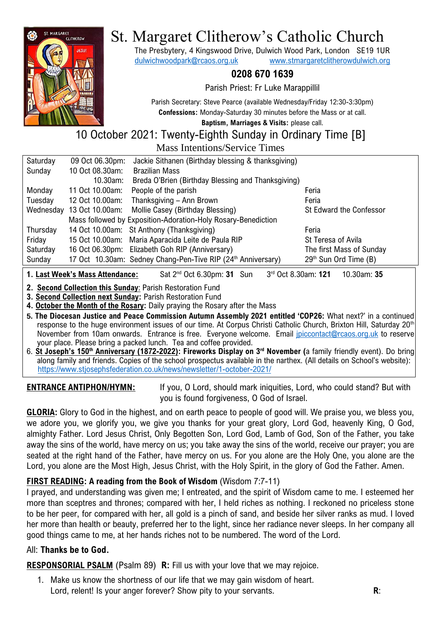

# St. Margaret Clitherow's Catholic Church

The Presbytery, 4 Kingswood Drive, Dulwich Wood Park, London SE19 1UR [dulwichwoodpark@rcaos.org.uk](mailto:dulwichwoodpark@rcaos.org.uk) [www.stmargaretclitherowdulwich.org](http://www.stmargaretclitherowdulwich.org/)

### **0208 670 1639**

Parish Priest: Fr Luke Marappillil

Parish Secretary: Steve Pearce (available Wednesday/Friday 12:30-3:30pm) **Confessions:** Monday-Saturday 30 minutes before the Mass or at call.

**Baptism, Marriages & Visits:** please call.

#### 10 October 2021: Twenty-Eighth Sunday in Ordinary Time [B] Mass Intentions/Service Times

|           |                 | IVIASS THIEHUOIIS/SEI VICE THIIES                                        |                                   |
|-----------|-----------------|--------------------------------------------------------------------------|-----------------------------------|
| Saturday  | 09 Oct 06.30pm: | Jackie Sithanen (Birthday blessing & thanksgiving)                       |                                   |
| Sunday    | 10 Oct 08.30am: | <b>Brazilian Mass</b>                                                    |                                   |
|           | 10.30am:        | Breda O'Brien (Birthday Blessing and Thanksgiving)                       |                                   |
| Monday    | 11 Oct 10.00am: | People of the parish                                                     | Feria                             |
| Tuesday   | 12 Oct 10.00am: | Thanksgiving - Ann Brown                                                 | Feria                             |
| Wednesday | 13 Oct 10.00am: | Mollie Casey (Birthday Blessing)                                         | St Edward the Confessor           |
|           |                 | Mass followed by Exposition-Adoration-Holy Rosary-Benediction            |                                   |
| Thursday  |                 | 14 Oct 10.00am: St Anthony (Thanksgiving)                                | Feria                             |
| Friday    |                 | 15 Oct 10.00am: Maria Aparacida Leite de Paula RIP                       | St Teresa of Avila                |
| Saturday  |                 | 16 Oct 06.30pm: Elizabeth Goh RIP (Anniversary)                          | The first Mass of Sunday          |
| Sunday    |                 | 17 Oct 10.30am: Sedney Chang-Pen-Tive RIP (24 <sup>th</sup> Anniversary) | 29 <sup>th</sup> Sun Ord Time (B) |
|           |                 |                                                                          |                                   |

**1. Last Week's Mass Attendance:** Sat 2<sup>nd</sup> Oct 6.30pm: **31** Sun rd Oct 8.30am: **121** 10.30am: **35**

**2. Second Collection this Sunday**: Parish Restoration Fund

**3. Second Collection next Sunday:** Parish Restoration Fund

**4. October the Month of the Rosary:** Daily praying the Rosary after the Mass

**5. The Diocesan Justice and Peace Commission Autumn Assembly 2021 entitled 'COP26:** What next?' in a continued response to the huge environment issues of our time. At Corpus Christi Catholic Church, Brixton Hill, Saturday 20<sup>th</sup> November from 10am onwards. Entrance is free. Everyone welcome. Email [jpiccontact@rcaos.org.uk](mailto:jpiccontact@rcaos.org.uk) to reserve your place. Please bring a packed lunch. Tea and coffee provided.

6. **St Joseph's 150th Anniversary (1872-2022): Fireworks Display on 3rd November (**a family friendly event). Do bring along family and friends. Copies of the school prospectus available in the narthex. (All details on School's website): <https://www.stjosephsfederation.co.uk/news/newsletter/1-october-2021/>

**ENTRANCE ANTIPHON/HYMN:** If you, O Lord, should mark iniquities, Lord, who could stand? But with you is found forgiveness, O God of Israel.

**GLORIA:** Glory to God in the highest, and on earth peace to people of good will. We praise you, we bless you, we adore you, we glorify you, we give you thanks for your great glory, Lord God, heavenly King, O God, almighty Father. Lord Jesus Christ, Only Begotten Son, Lord God, Lamb of God, Son of the Father, you take away the sins of the world, have mercy on us; you take away the sins of the world, receive our prayer; you are seated at the right hand of the Father, have mercy on us. For you alone are the Holy One, you alone are the Lord, you alone are the Most High, Jesus Christ, with the Holy Spirit, in the glory of God the Father, Amen.

#### **FIRST READING: A reading from the Book of Wisdom** (Wisdom 7:7-11)

I prayed, and understanding was given me; I entreated, and the spirit of Wisdom came to me. I esteemed her more than sceptres and thrones; compared with her, I held riches as nothing. I reckoned no priceless stone to be her peer, for compared with her, all gold is a pinch of sand, and beside her silver ranks as mud. I loved her more than health or beauty, preferred her to the light, since her radiance never sleeps. In her company all good things came to me, at her hands riches not to be numbered. The word of the Lord.

#### All: **Thanks be to God.**

**RESPONSORIAL PSALM** (Psalm 89) **R:** Fill us with your love that we may rejoice.

1. Make us know the shortness of our life that we may gain wisdom of heart. Lord, relent! Is your anger forever? Show pity to your servants. **R**: